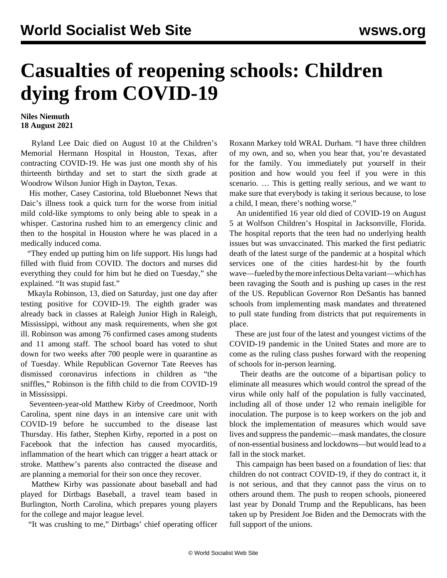## **Casualties of reopening schools: Children dying from COVID-19**

## **Niles Niemuth 18 August 2021**

 Ryland Lee Daic died on August 10 at the Children's Memorial Hermann Hospital in Houston, Texas, after contracting COVID-19. He was just one month shy of his thirteenth birthday and set to start the sixth grade at Woodrow Wilson Junior High in Dayton, Texas.

 His mother, Casey Castorina, told Bluebonnet News that Daic's illness took a quick turn for the worse from initial mild cold-like symptoms to only being able to speak in a whisper. Castorina rushed him to an emergency clinic and then to the hospital in Houston where he was placed in a medically induced coma.

 "They ended up putting him on life support. His lungs had filled with fluid from COVID. The doctors and nurses did everything they could for him but he died on Tuesday," she explained. "It was stupid fast."

 Mkayla Robinson, 13, died on Saturday, just one day after testing positive for COVID-19. The eighth grader was already back in classes at Raleigh Junior High in Raleigh, Mississippi, without any mask requirements, when she got ill. Robinson was among 76 confirmed cases among students and 11 among staff. The school board has voted to shut down for two weeks after 700 people were in quarantine as of Tuesday. While Republican Governor Tate Reeves has dismissed coronavirus infections in children as "the sniffles," Robinson is the fifth child to die from COVID-19 in Mississippi.

 Seventeen-year-old Matthew Kirby of Creedmoor, North Carolina, spent nine days in an intensive care unit with COVID-19 before he succumbed to the disease last Thursday. His father, Stephen Kirby, reported in a post on Facebook that the infection has caused myocarditis, inflammation of the heart which can trigger a heart attack or stroke. Matthew's parents also contracted the disease and are planning a memorial for their son once they recover.

 Matthew Kirby was passionate about baseball and had played for Dirtbags Baseball, a travel team based in Burlington, North Carolina, which prepares young players for the college and major league level.

"It was crushing to me," Dirtbags' chief operating officer

Roxann Markey told WRAL Durham. "I have three children of my own, and so, when you hear that, you're devastated for the family. You immediately put yourself in their position and how would you feel if you were in this scenario. … This is getting really serious, and we want to make sure that everybody is taking it serious because, to lose a child, I mean, there's nothing worse."

 An unidentified 16 year old died of COVID-19 on August 5 at Wolfson Children's Hospital in Jacksonville, Florida. The hospital reports that the teen had no underlying health issues but was unvaccinated. This marked the first pediatric death of the latest surge of the pandemic at a hospital which services one of the cities hardest-hit by the fourth wave—fueled by the more infectious Delta variant—which has been ravaging the South and is pushing up cases in the rest of the US. Republican Governor Ron DeSantis has banned schools from implementing mask mandates and threatened to pull state funding from districts that put requirements in place.

 These are just four of the latest and youngest victims of the COVID-19 pandemic in the United States and more are to come as the ruling class pushes forward with the reopening of schools for in-person learning.

 Their deaths are the outcome of a bipartisan policy to eliminate all measures which would control the spread of the virus while only half of the population is fully vaccinated, including all of those under 12 who remain ineligible for inoculation. The purpose is to keep workers on the job and block the implementation of measures which would save lives and suppress the pandemic—mask mandates, the closure of non-essential business and lockdowns—but would lead to a fall in the stock market.

 This campaign has been based on a foundation of lies: that children do not contract COVID-19, if they do contract it, it is not serious, and that they cannot pass the virus on to others around them. The push to reopen schools, pioneered last year by Donald Trump and the Republicans, has been taken up by President Joe Biden and the Democrats with the full support of the unions.